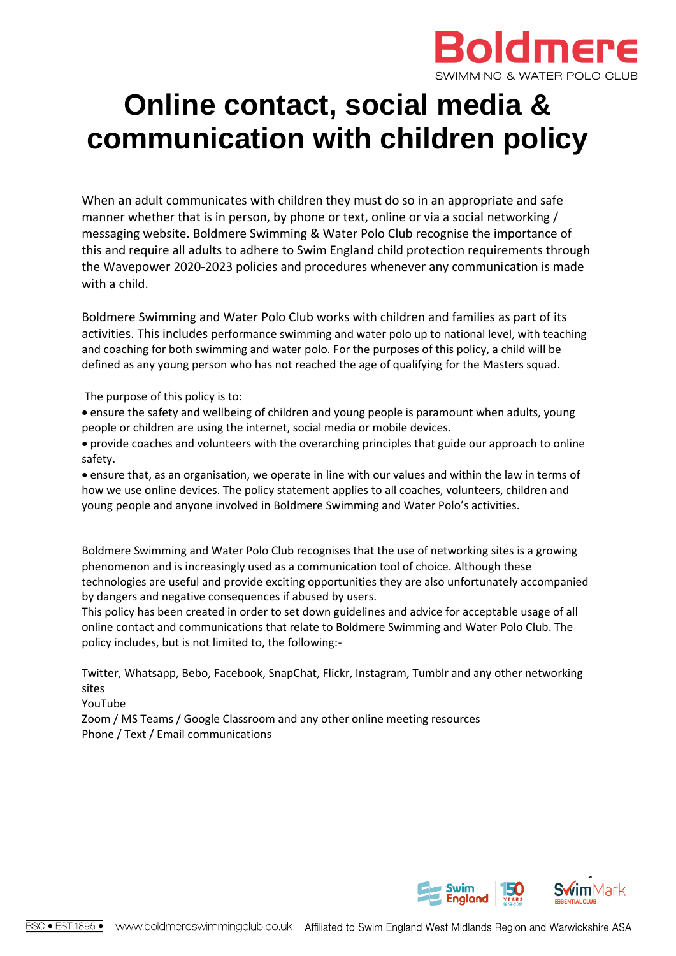

# **Online contact, social media & communication with children policy**

When an adult communicates with children they must do so in an appropriate and safe manner whether that is in person, by phone or text, online or via a social networking / messaging website. Boldmere Swimming & Water Polo Club recognise the importance of this and require all adults to adhere to Swim England child protection requirements through the Wavepower 2020-2023 policies and procedures whenever any communication is made with a child.

Boldmere Swimming and Water Polo Club works with children and families as part of its activities. This includes performance swimming and water polo up to national level, with teaching and coaching for both swimming and water polo. For the purposes of this policy, a child will be defined as any young person who has not reached the age of qualifying for the Masters squad.

The purpose of this policy is to:

• ensure the safety and wellbeing of children and young people is paramount when adults, young people or children are using the internet, social media or mobile devices.

• provide coaches and volunteers with the overarching principles that guide our approach to online safety.

• ensure that, as an organisation, we operate in line with our values and within the law in terms of how we use online devices. The policy statement applies to all coaches, volunteers, children and young people and anyone involved in Boldmere Swimming and Water Polo's activities.

Boldmere Swimming and Water Polo Club recognises that the use of networking sites is a growing phenomenon and is increasingly used as a communication tool of choice. Although these technologies are useful and provide exciting opportunities they are also unfortunately accompanied by dangers and negative consequences if abused by users.

This policy has been created in order to set down guidelines and advice for acceptable usage of all online contact and communications that relate to Boldmere Swimming and Water Polo Club. The policy includes, but is not limited to, the following:-

Twitter, Whatsapp, Bebo, Facebook, SnapChat, Flickr, Instagram, Tumblr and any other networking sites

YouTube

Zoom / MS Teams / Google Classroom and any other online meeting resources Phone / Text / Email communications

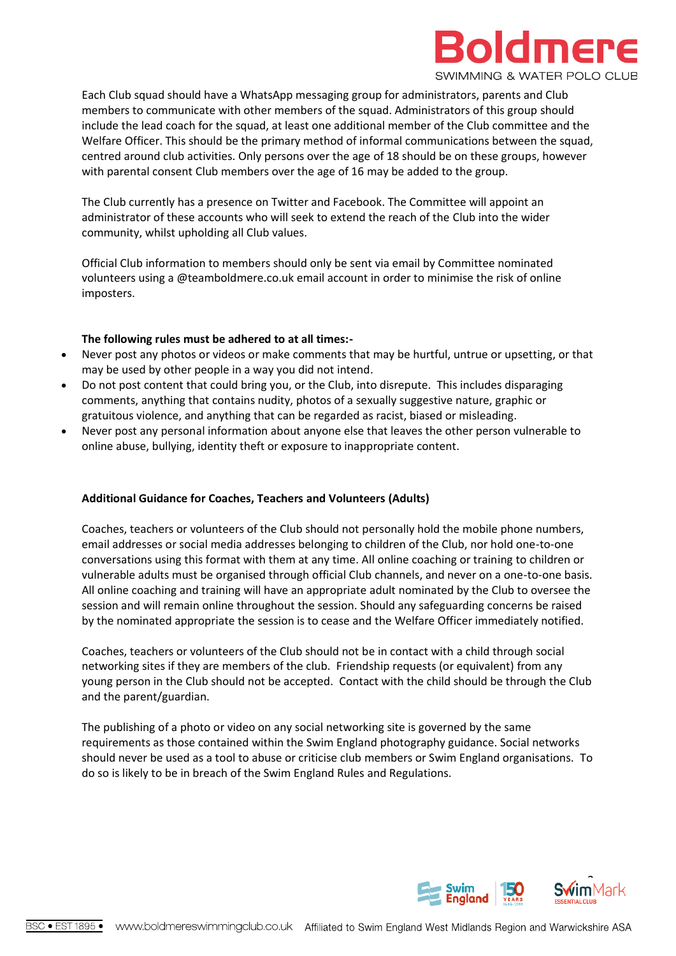

Each Club squad should have a WhatsApp messaging group for administrators, parents and Club members to communicate with other members of the squad. Administrators of this group should include the lead coach for the squad, at least one additional member of the Club committee and the Welfare Officer. This should be the primary method of informal communications between the squad, centred around club activities. Only persons over the age of 18 should be on these groups, however with parental consent Club members over the age of 16 may be added to the group.

The Club currently has a presence on Twitter and Facebook. The Committee will appoint an administrator of these accounts who will seek to extend the reach of the Club into the wider community, whilst upholding all Club values.

Official Club information to members should only be sent via email by Committee nominated volunteers using a @teamboldmere.co.uk email account in order to minimise the risk of online imposters.

# **The following rules must be adhered to at all times:-**

- Never post any photos or videos or make comments that may be hurtful, untrue or upsetting, or that may be used by other people in a way you did not intend.
- Do not post content that could bring you, or the Club, into disrepute. This includes disparaging comments, anything that contains nudity, photos of a sexually suggestive nature, graphic or gratuitous violence, and anything that can be regarded as racist, biased or misleading.
- Never post any personal information about anyone else that leaves the other person vulnerable to online abuse, bullying, identity theft or exposure to inappropriate content.

# **Additional Guidance for Coaches, Teachers and Volunteers (Adults)**

Coaches, teachers or volunteers of the Club should not personally hold the mobile phone numbers, email addresses or social media addresses belonging to children of the Club, nor hold one-to-one conversations using this format with them at any time. All online coaching or training to children or vulnerable adults must be organised through official Club channels, and never on a one-to-one basis. All online coaching and training will have an appropriate adult nominated by the Club to oversee the session and will remain online throughout the session. Should any safeguarding concerns be raised by the nominated appropriate the session is to cease and the Welfare Officer immediately notified.

Coaches, teachers or volunteers of the Club should not be in contact with a child through social networking sites if they are members of the club. Friendship requests (or equivalent) from any young person in the Club should not be accepted. Contact with the child should be through the Club and the parent/guardian.

The publishing of a photo or video on any social networking site is governed by the same requirements as those contained within the Swim England photography guidance. Social networks should never be used as a tool to abuse or criticise club members or Swim England organisations. To do so is likely to be in breach of the Swim England Rules and Regulations.

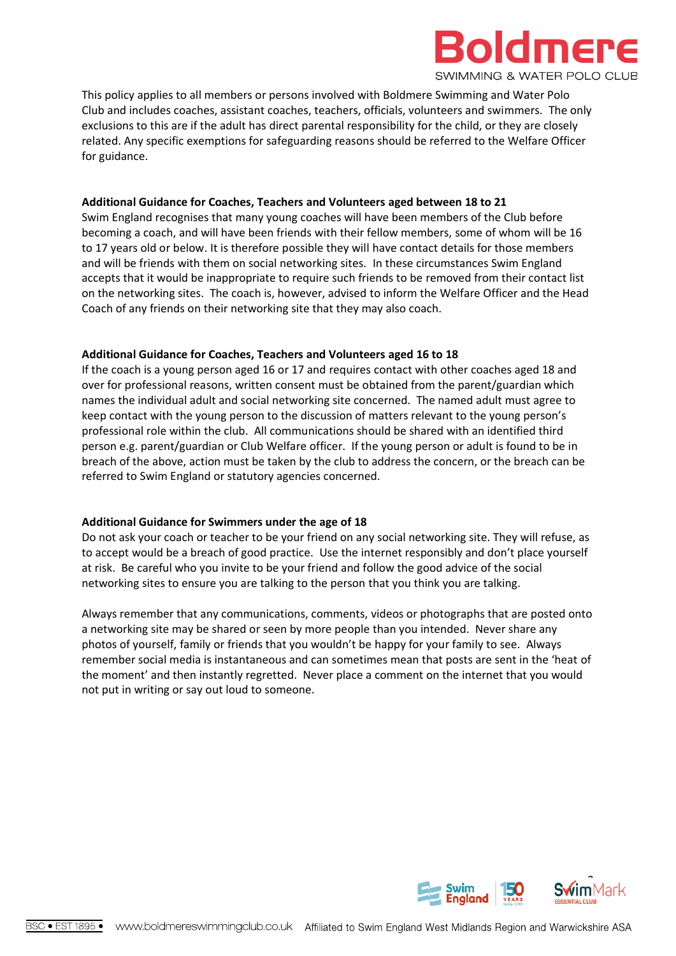

This policy applies to all members or persons involved with Boldmere Swimming and Water Polo Club and includes coaches, assistant coaches, teachers, officials, volunteers and swimmers. The only exclusions to this are if the adult has direct parental responsibility for the child, or they are closely related. Any specific exemptions for safeguarding reasons should be referred to the Welfare Officer for guidance.

#### **Additional Guidance for Coaches, Teachers and Volunteers aged between 18 to 21**

Swim England recognises that many young coaches will have been members of the Club before becoming a coach, and will have been friends with their fellow members, some of whom will be 16 to 17 years old or below. It is therefore possible they will have contact details for those members and will be friends with them on social networking sites. In these circumstances Swim England accepts that it would be inappropriate to require such friends to be removed from their contact list on the networking sites. The coach is, however, advised to inform the Welfare Officer and the Head Coach of any friends on their networking site that they may also coach.

# **Additional Guidance for Coaches, Teachers and Volunteers aged 16 to 18**

If the coach is a young person aged 16 or 17 and requires contact with other coaches aged 18 and over for professional reasons, written consent must be obtained from the parent/guardian which names the individual adult and social networking site concerned. The named adult must agree to keep contact with the young person to the discussion of matters relevant to the young person's professional role within the club. All communications should be shared with an identified third person e.g. parent/guardian or Club Welfare officer. If the young person or adult is found to be in breach of the above, action must be taken by the club to address the concern, or the breach can be referred to Swim England or statutory agencies concerned.

# **Additional Guidance for Swimmers under the age of 18**

Do not ask your coach or teacher to be your friend on any social networking site. They will refuse, as to accept would be a breach of good practice. Use the internet responsibly and don't place yourself at risk. Be careful who you invite to be your friend and follow the good advice of the social networking sites to ensure you are talking to the person that you think you are talking.

Always remember that any communications, comments, videos or photographs that are posted onto a networking site may be shared or seen by more people than you intended. Never share any photos of yourself, family or friends that you wouldn't be happy for your family to see. Always remember social media is instantaneous and can sometimes mean that posts are sent in the 'heat of the moment' and then instantly regretted. Never place a comment on the internet that you would not put in writing or say out loud to someone.

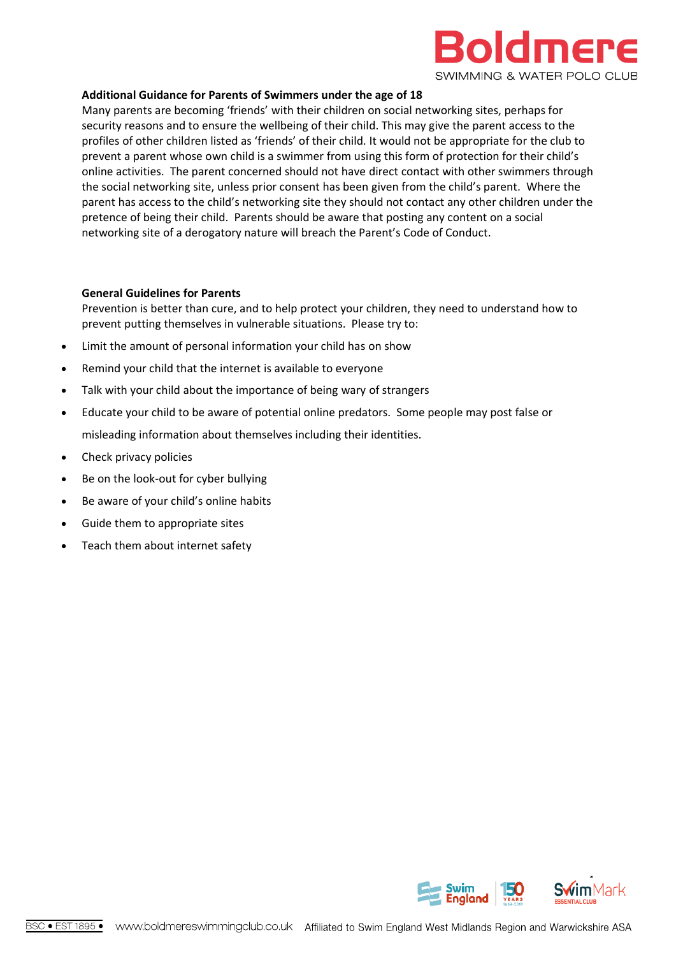

#### **Additional Guidance for Parents of Swimmers under the age of 18**

Many parents are becoming 'friends' with their children on social networking sites, perhaps for security reasons and to ensure the wellbeing of their child. This may give the parent access to the profiles of other children listed as 'friends' of their child. It would not be appropriate for the club to prevent a parent whose own child is a swimmer from using this form of protection for their child's online activities. The parent concerned should not have direct contact with other swimmers through the social networking site, unless prior consent has been given from the child's parent. Where the parent has access to the child's networking site they should not contact any other children under the pretence of being their child. Parents should be aware that posting any content on a social networking site of a derogatory nature will breach the Parent's Code of Conduct.

#### **General Guidelines for Parents**

Prevention is better than cure, and to help protect your children, they need to understand how to prevent putting themselves in vulnerable situations. Please try to:

- Limit the amount of personal information your child has on show
- Remind your child that the internet is available to everyone
- Talk with your child about the importance of being wary of strangers
- Educate your child to be aware of potential online predators. Some people may post false or misleading information about themselves including their identities.
- Check privacy policies
- Be on the look-out for cyber bullying
- Be aware of your child's online habits
- Guide them to appropriate sites
- Teach them about internet safety